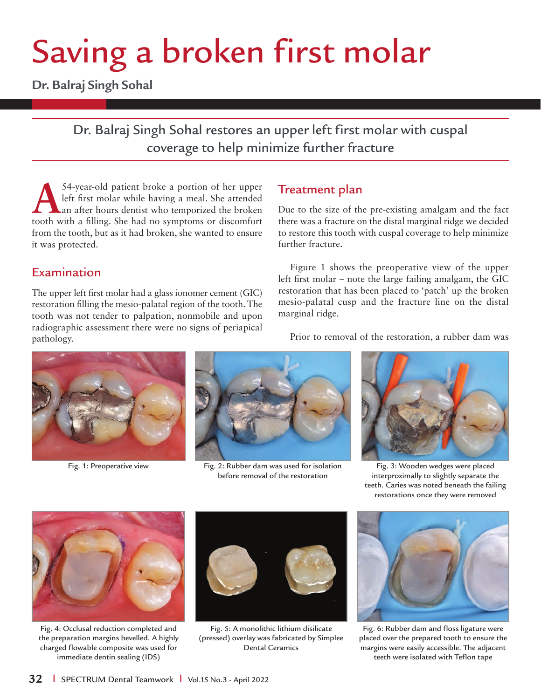## Saving a broken first molar

**Dr. Balraj Singh Sohal**

## Dr. Balraj Singh Sohal restores an upper left first molar with cuspal coverage to help minimize further fracture

54-year-old patient broke a portion of her upper<br>left first molar while having a meal. She attended<br>an after hours dentist who temporized the broken left first molar while having a meal. She attended an after hours dentist who temporized the broken tooth with a filling. She had no symptoms or discomfort from the tooth, but as it had broken, she wanted to ensure it was protected.

## Examination

The upper left first molar had a glass ionomer cement (GIC) restoration filling the mesio-palatal region of the tooth. The tooth was not tender to palpation, nonmobile and upon radiographic assessment there were no signs of periapical pathology.

## Treatment plan

Due to the size of the pre-existing amalgam and the fact there was a fracture on the distal marginal ridge we decided to restore this tooth with cuspal coverage to help minimize further fracture.

Figure 1 shows the preoperative view of the upper left first molar – note the large failing amalgam, the GIC restoration that has been placed to 'patch' up the broken mesio-palatal cusp and the fracture line on the distal marginal ridge.



Fig. 1: Preoperative view Fig. 2: Rubber dam was used for isolation before removal of the restoration

Prior to removal of the restoration, a rubber dam was



Fig. 3: Wooden wedges were placed interproximally to slightly separate the teeth. Caries was noted beneath the failing restorations once they were removed



Fig. 4: Occlusal reduction completed and the preparation margins bevelled. A highly charged flowable composite was used for immediate dentin sealing (IDS)



Fig. 5: A monolithic lithium disilicate (pressed) overlay was fabricated by Simplee Dental Ceramics



Fig. 6: Rubber dam and floss ligature were placed over the prepared tooth to ensure the margins were easily accessible. The adjacent teeth were isolated with Teflon tape